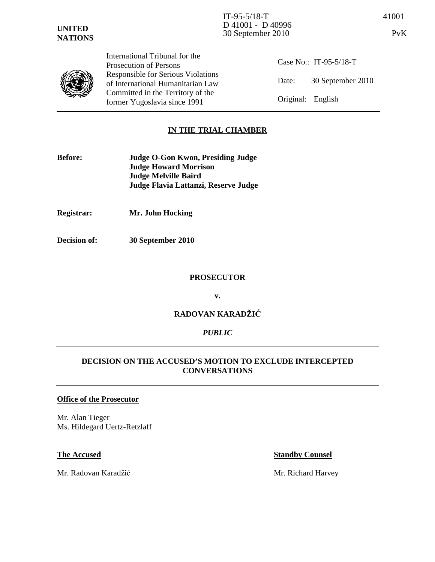

International Tribunal for the Prosecution of Persons Responsible for Serious Violations of International Humanitarian Law Committed in the Territory of the former Yugoslavia since 1991

Case No.: IT-95-5/18-T Date: 30 September 2010 Original: English

# **IN THE TRIAL CHAMBER**

- **Before: Judge O-Gon Kwon, Presiding Judge Judge Howard Morrison Judge Melville Baird Judge Flavia Lattanzi, Reserve Judge**
- **Registrar: Mr. John Hocking**
- **Decision of: 30 September 2010**

### **PROSECUTOR**

**v.** 

# **RADOVAN KARADŽI**Ć

## *PUBLIC*

# **DECISION ON THE ACCUSED'S MOTION TO EXCLUDE INTERCEPTED CONVERSATIONS**

### **Office of the Prosecutor**

Mr. Alan Tieger Ms. Hildegard Uertz-Retzlaff

Mr. Radovan Karadžić Mr. Richard Harvey

## **The Accused Standby Counsel**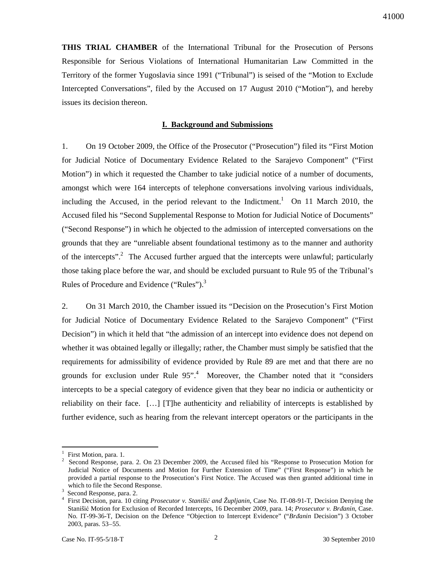41000

**THIS TRIAL CHAMBER** of the International Tribunal for the Prosecution of Persons Responsible for Serious Violations of International Humanitarian Law Committed in the Territory of the former Yugoslavia since 1991 ("Tribunal") is seised of the "Motion to Exclude Intercepted Conversations", filed by the Accused on 17 August 2010 ("Motion"), and hereby issues its decision thereon.

## **I. Background and Submissions**

1. On 19 October 2009, the Office of the Prosecutor ("Prosecution") filed its "First Motion for Judicial Notice of Documentary Evidence Related to the Sarajevo Component" ("First Motion") in which it requested the Chamber to take judicial notice of a number of documents, amongst which were 164 intercepts of telephone conversations involving various individuals, including the Accused, in the period relevant to the Indictment.<sup>1</sup> On 11 March 2010, the Accused filed his "Second Supplemental Response to Motion for Judicial Notice of Documents" ("Second Response") in which he objected to the admission of intercepted conversations on the grounds that they are "unreliable absent foundational testimony as to the manner and authority of the intercepts".<sup>2</sup> The Accused further argued that the intercepts were unlawful; particularly those taking place before the war, and should be excluded pursuant to Rule 95 of the Tribunal's Rules of Procedure and Evidence ("Rules").<sup>3</sup>

2. On 31 March 2010, the Chamber issued its "Decision on the Prosecution's First Motion for Judicial Notice of Documentary Evidence Related to the Sarajevo Component" ("First Decision") in which it held that "the admission of an intercept into evidence does not depend on whether it was obtained legally or illegally; rather, the Chamber must simply be satisfied that the requirements for admissibility of evidence provided by Rule 89 are met and that there are no grounds for exclusion under Rule 95".<sup>4</sup> Moreover, the Chamber noted that it "considers intercepts to be a special category of evidence given that they bear no indicia or authenticity or reliability on their face. […] [T]he authenticity and reliability of intercepts is established by further evidence, such as hearing from the relevant intercept operators or the participants in the

<sup>1</sup> First Motion, para. 1.

<sup>2</sup> Second Response, para. 2. On 23 December 2009, the Accused filed his "Response to Prosecution Motion for Judicial Notice of Documents and Motion for Further Extension of Time" ("First Response") in which he provided a partial response to the Prosecution's First Notice. The Accused was then granted additional time in which to file the Second Response.

<sup>3</sup> Second Response, para. 2.

<sup>4</sup> First Decision, para. 10 citing *Prosecutor v. Staniši*ć *and Župljanin*, Case No. IT-08-91-T, Decision Denying the Stanišić Motion for Exclusion of Recorded Intercepts, 16 December 2009, para. 14; *Prosecutor v. Br*ñ*anin*, Case. No. IT-99-36-T, Decision on the Defence "Objection to Intercept Evidence" ("*Br*ñ*anin* Decision") 3 October 2003, paras. 53–55.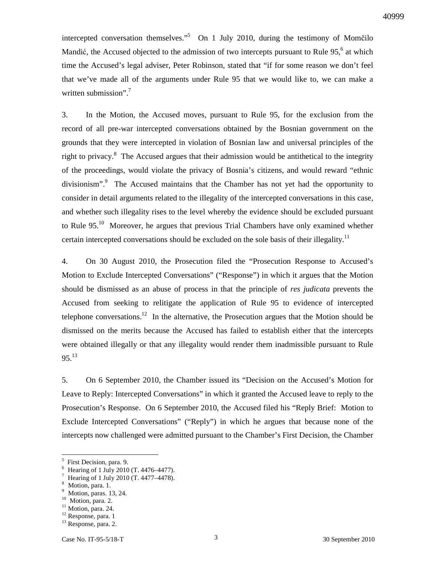intercepted conversation themselves."<sup>5</sup> On 1 July 2010, during the testimony of Momčilo Mandić, the Accused objected to the admission of two intercepts pursuant to Rule 95, $6$  at which time the Accused's legal adviser, Peter Robinson, stated that "if for some reason we don't feel that we've made all of the arguments under Rule 95 that we would like to, we can make a written submission".<sup>7</sup>

3. In the Motion, the Accused moves, pursuant to Rule 95, for the exclusion from the record of all pre-war intercepted conversations obtained by the Bosnian government on the grounds that they were intercepted in violation of Bosnian law and universal principles of the right to privacy.<sup>8</sup> The Accused argues that their admission would be antithetical to the integrity of the proceedings, would violate the privacy of Bosnia's citizens, and would reward "ethnic divisionism".<sup>9</sup> The Accused maintains that the Chamber has not yet had the opportunity to consider in detail arguments related to the illegality of the intercepted conversations in this case, and whether such illegality rises to the level whereby the evidence should be excluded pursuant to Rule  $95<sup>10</sup>$  Moreover, he argues that previous Trial Chambers have only examined whether certain intercepted conversations should be excluded on the sole basis of their illegality.<sup>11</sup>

4. On 30 August 2010, the Prosecution filed the "Prosecution Response to Accused's Motion to Exclude Intercepted Conversations" ("Response") in which it argues that the Motion should be dismissed as an abuse of process in that the principle of *res judicata* prevents the Accused from seeking to relitigate the application of Rule 95 to evidence of intercepted telephone conversations.<sup>12</sup> In the alternative, the Prosecution argues that the Motion should be dismissed on the merits because the Accused has failed to establish either that the intercepts were obtained illegally or that any illegality would render them inadmissible pursuant to Rule  $95^{13}$ 

5. On 6 September 2010, the Chamber issued its "Decision on the Accused's Motion for Leave to Reply: Intercepted Conversations" in which it granted the Accused leave to reply to the Prosecution's Response. On 6 September 2010, the Accused filed his "Reply Brief: Motion to Exclude Intercepted Conversations" ("Reply") in which he argues that because none of the intercepts now challenged were admitted pursuant to the Chamber's First Decision, the Chamber

<sup>5</sup> First Decision, para. 9.

<sup>6</sup> Hearing of 1 July 2010 (T. 4476–4477).

<sup>7</sup> Hearing of 1 July 2010 (T. 4477–4478).

<sup>8</sup> Motion, para. 1.

<sup>9</sup> Motion, paras. 13, 24.

<sup>&</sup>lt;sup>10</sup> Motion, para. 2.

<sup>&</sup>lt;sup>11</sup> Motion, para. 24.

<sup>12</sup> Response, para. 1

<sup>&</sup>lt;sup>13</sup> Response, para. 2.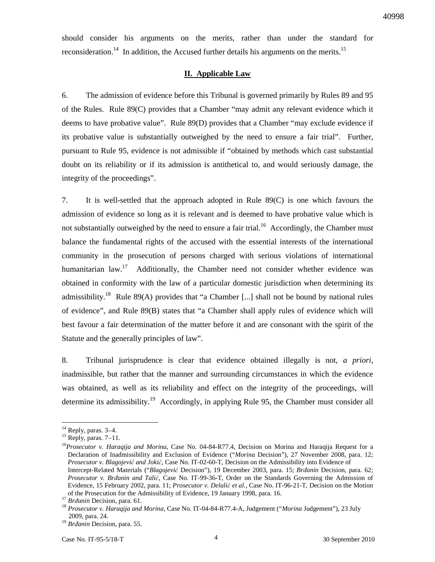should consider his arguments on the merits, rather than under the standard for reconsideration.<sup>14</sup> In addition, the Accused further details his arguments on the merits.<sup>15</sup>

### **II. Applicable Law**

6. The admission of evidence before this Tribunal is governed primarily by Rules 89 and 95 of the Rules. Rule 89(C) provides that a Chamber "may admit any relevant evidence which it deems to have probative value". Rule 89(D) provides that a Chamber "may exclude evidence if its probative value is substantially outweighed by the need to ensure a fair trial". Further, pursuant to Rule 95, evidence is not admissible if "obtained by methods which cast substantial doubt on its reliability or if its admission is antithetical to, and would seriously damage, the integrity of the proceedings".

7. It is well-settled that the approach adopted in Rule 89(C) is one which favours the admission of evidence so long as it is relevant and is deemed to have probative value which is not substantially outweighed by the need to ensure a fair trial.<sup>16</sup> Accordingly, the Chamber must balance the fundamental rights of the accused with the essential interests of the international community in the prosecution of persons charged with serious violations of international humanitarian  $law<sup>17</sup>$  Additionally, the Chamber need not consider whether evidence was obtained in conformity with the law of a particular domestic jurisdiction when determining its admissibility.<sup>18</sup> Rule 89(A) provides that "a Chamber [...] shall not be bound by national rules of evidence", and Rule 89(B) states that "a Chamber shall apply rules of evidence which will best favour a fair determination of the matter before it and are consonant with the spirit of the Statute and the generally principles of law".

8. Tribunal jurisprudence is clear that evidence obtained illegally is not, *a priori*, inadmissible, but rather that the manner and surrounding circumstances in which the evidence was obtained, as well as its reliability and effect on the integrity of the proceedings, will determine its admissibility.<sup>19</sup> Accordingly, in applying Rule 95, the Chamber must consider all

<sup>&</sup>lt;sup>14</sup> Reply, paras. 3-4.

 $15$  Reply, paras. 7–11.

<sup>16</sup>*Prosecutor v. Haraqija and Morina*, Case No. 04-84-R77.4, Decision on Morina and Haraqija Request for a Declaration of Inadmissibility and Exclusion of Evidence ("*Morina* Decision"), 27 November 2008, para. 12; *Prosecutor v. Blagojevi*ć *and Joki*ć, Case No. IT-02-60-T, Decision on the Admissibility into Evidence of Intercept-Related Materials ("*Blagojevi*ć Decision"), 19 December 2003, para. 15; *Br*ñ*anin* Decision, para. 62; *Prosecutor v. Br*ñ*anin and Tali*ć, Case No. IT-99-36-T, Order on the Standards Governing the Admission of Evidence, 15 February 2002, para. 11; *Prosecutor v. Delali*ć *et al.*, Case No. IT-96-21-T, Decision on the Motion of the Prosecution for the Admissibility of Evidence, 19 January 1998, para. 16.

<sup>&</sup>lt;sup>17</sup> *Brđanin* Decision, para. 61.

<sup>18</sup> *Prosecutor v. Haraqija and Morina*, Case No. IT-04-84-R77.4-A, Judgement ("*Morina* Judgement"), 23 July 2009, para. 24.

<sup>&</sup>lt;sup>19</sup> Brđanin Decision, para. 55.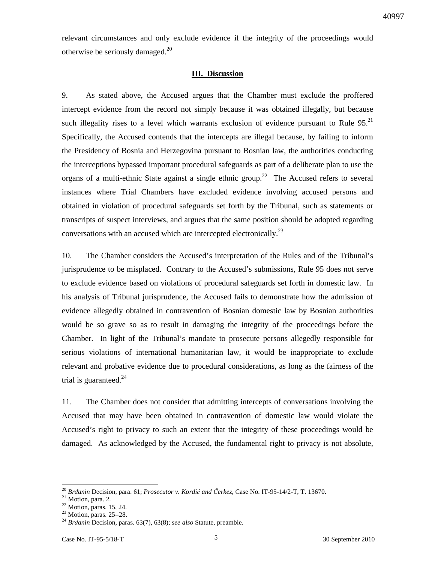relevant circumstances and only exclude evidence if the integrity of the proceedings would otherwise be seriously damaged. $^{20}$ 

## **III. Discussion**

9. As stated above, the Accused argues that the Chamber must exclude the proffered intercept evidence from the record not simply because it was obtained illegally, but because such illegality rises to a level which warrants exclusion of evidence pursuant to Rule  $95.^{21}$ Specifically, the Accused contends that the intercepts are illegal because, by failing to inform the Presidency of Bosnia and Herzegovina pursuant to Bosnian law, the authorities conducting the interceptions bypassed important procedural safeguards as part of a deliberate plan to use the organs of a multi-ethnic State against a single ethnic group.<sup>22</sup> The Accused refers to several instances where Trial Chambers have excluded evidence involving accused persons and obtained in violation of procedural safeguards set forth by the Tribunal, such as statements or transcripts of suspect interviews, and argues that the same position should be adopted regarding conversations with an accused which are intercepted electronically.<sup>23</sup>

10. The Chamber considers the Accused's interpretation of the Rules and of the Tribunal's jurisprudence to be misplaced. Contrary to the Accused's submissions, Rule 95 does not serve to exclude evidence based on violations of procedural safeguards set forth in domestic law. In his analysis of Tribunal jurisprudence, the Accused fails to demonstrate how the admission of evidence allegedly obtained in contravention of Bosnian domestic law by Bosnian authorities would be so grave so as to result in damaging the integrity of the proceedings before the Chamber. In light of the Tribunal's mandate to prosecute persons allegedly responsible for serious violations of international humanitarian law, it would be inappropriate to exclude relevant and probative evidence due to procedural considerations, as long as the fairness of the trial is guaranteed. $^{24}$ 

11. The Chamber does not consider that admitting intercepts of conversations involving the Accused that may have been obtained in contravention of domestic law would violate the Accused's right to privacy to such an extent that the integrity of these proceedings would be damaged. As acknowledged by the Accused, the fundamental right to privacy is not absolute,

 $\overline{a}$ <sup>20</sup> *Br*ñ*anin* Decision, para. 61; *Prosecutor v. Kordi*ć *and* Č*erkez*, Case No. IT-95-14/2-T, T. 13670.

<sup>&</sup>lt;sup>21</sup> Motion, para. 2.

 $22$  Motion, paras. 15, 24.

 $23$  Motion, paras. 25–28.

<sup>&</sup>lt;sup>24</sup> Brđanin<sup>D</sup>ecision, paras. 63(7), 63(8); see also Statute, preamble.